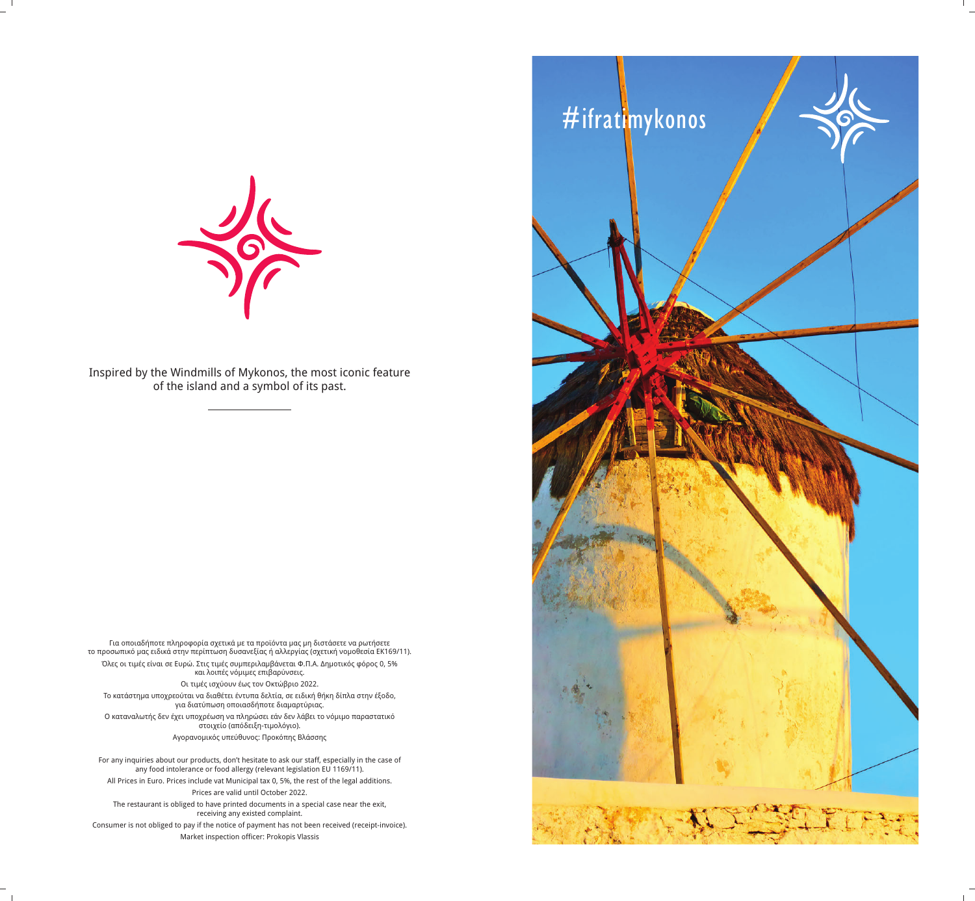

Inspired by the Windmills of Mykonos, the most iconic feature of the island and a symbol of its past.

Για οποιαδήποτε πληροφορία σχετικά με τα προϊόντα μας μη διστάσετε να ρωτήσετε το προσωπικό μας ειδικά στην περίπτωση δυσανεξίας ή αλλεργίας (σχετική νομοθεσία ΕΚ169/11). Όλες οι τιμές είναι σε Ευρώ. Στις τιμές συμπεριλαμβάνεται Φ.Π.Α. Δημοτικός φόρος 0, 5% και λοιπές νόμιμες επιβαρύνσεις. Οι τιμές ισχύουν έως τον Οκτώβριο 2022. Tο κατάστημα υποχρεούται να διαθέτει έντυπα δελτία, σε ειδική θήκη δίπλα στην έξοδο, για διατύπωση οποιασδήποτε διαμαρτύριας. Ο καταναλωτής δεν έχει υποχρέωση να πληρώσει εάν δεν λάβει το νόμιμο παραστατικό

στοιχείο (απόδειξη-τιμολόγιο). Aγορανομικός υπεύθυνος: Προκόπης Βλάσσης

For any inquiries about our products, don't hesitate to ask our staff, especially in the case of any food intolerance or food allergy (relevant legislation EU 1169/11). All Prices in Euro. Prices include vat Μunicipal tax 0, 5%, the rest of the legal additions. Prices are valid until October 2022. The restaurant is obliged to have printed documents in a special case near the exit, receiving any existed complaint. Consumer is not obliged to pay if the notice of payment has not been received (receipt-invoice).

Market inspection officer: Prokopis Vlassis

#ifratimykonos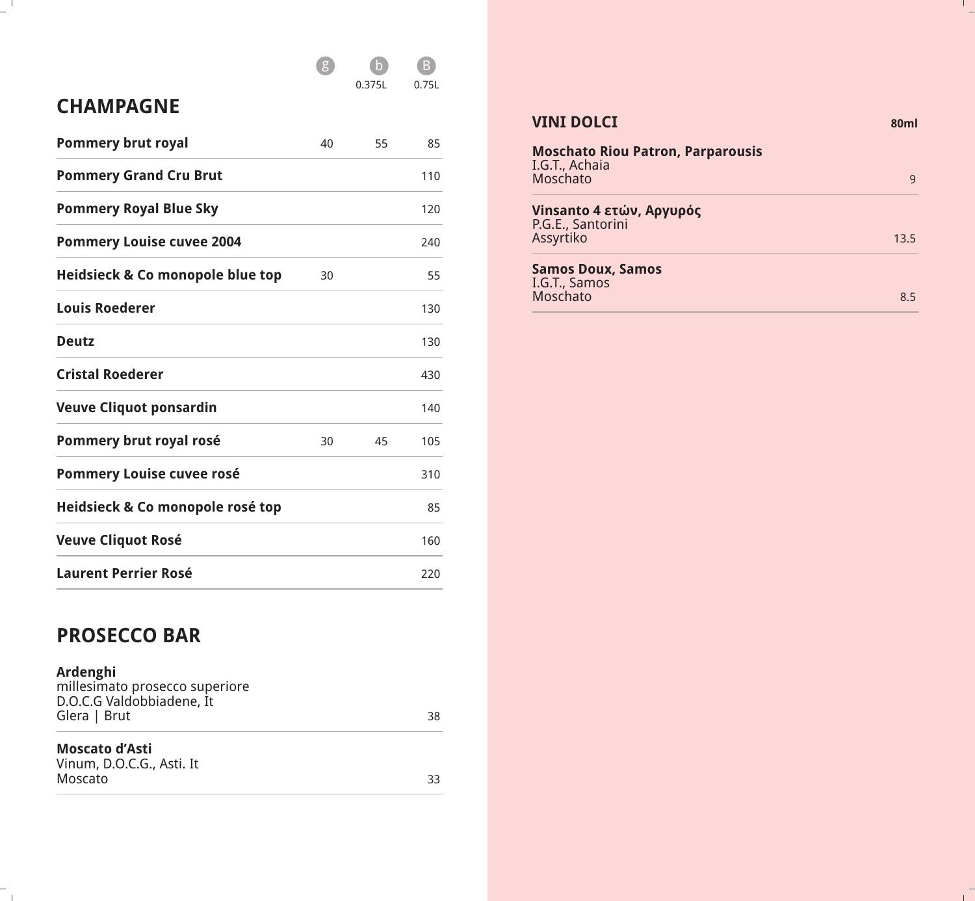## g b B

0.375L 0.75L

## **CHAMPAGNE**

 $-$ <sup> $\overline{ }$ </sup>

| <b>Pommery brut royal</b>        | 40 | 55 | 85  |
|----------------------------------|----|----|-----|
| <b>Pommery Grand Cru Brut</b>    |    |    | 110 |
| <b>Pommery Royal Blue Sky</b>    |    |    | 120 |
| <b>Pommery Louise cuvee 2004</b> |    |    | 240 |
| Heidsieck & Co monopole blue top | 30 |    | 55  |
| <b>Louis Roederer</b>            |    |    | 130 |
| <b>Deutz</b>                     |    |    | 130 |
| <b>Cristal Roederer</b>          |    |    | 430 |
| <b>Veuve Cliquot ponsardin</b>   |    |    | 140 |
| Pommery brut royal rosé          | 30 | 45 | 105 |
| <b>Pommery Louise cuvee rosé</b> |    |    | 310 |
| Heidsieck & Co monopole rosé top |    |    | 85  |
| <b>Veuve Cliquot Rosé</b>        |    |    | 160 |
| <b>Laurent Perrier Rosé</b>      |    |    | 220 |

## **PROSECCO BAR**

 $\mathbb{Z}_{\geq 0}$ 

| Ardenghi<br>millesimato prosecco superiore<br>D.O.C.G Valdobbiadene, It |    |
|-------------------------------------------------------------------------|----|
| Glera   Brut                                                            | 38 |
| Moscato d'Asti                                                          |    |

| IVIUSLALU U MSLI          |  |
|---------------------------|--|
| Vinum, D.O.C.G., Asti. It |  |
| Moscato                   |  |

#### **VINI DOLCI** 80ml

| <b>Moschato Riou Patron, Parparousis</b><br>I.G.T., Achaia<br>Moschato |      |
|------------------------------------------------------------------------|------|
| Vinsanto 4 ετών, Αργυρός<br>P.G.E., Santorini<br>Assyrtiko             | 13.5 |
| <b>Samos Doux, Samos</b><br>I.G.T., Samos<br>Moschato                  | 85   |

 $\frac{1}{\sqrt{2}}$ 

 $\frac{1}{\sqrt{2}}$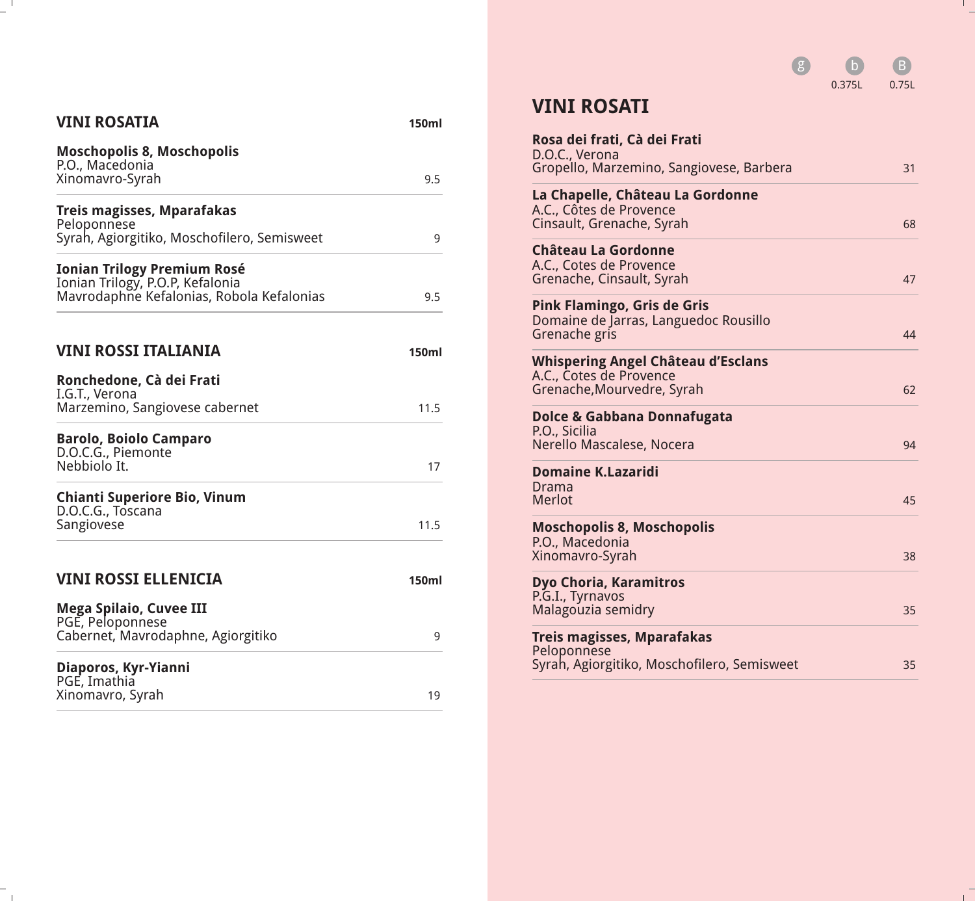

 $\mathbb{R}^n$ 

## **VINI ROSATIA 150ml Moschopolis 8, Moschopolis** P.O., Macedonia Xinomavro-Syrah 9.5 **Treis magisses, Mparafakas** Peloponnese Syrah, Agiorgitiko, Moschofilero, Semisweet 9 **Ionian Trilogy Premium Rosé** Ionian Trilogy, P.O.P, Kefalonia Mavrodaphne Kefalonias, Robola Kefalonias 9.5 **VINI ROSSI ITALIANIA** 150ml **Ronchedone, Cà dei Frati** I.G.T., Verona Marzemino, Sangiovese cabernet 11.5 **Barolo, Boiolo Camparo** D.O.C.G., Piemonte Nebbiolo It. 17 **Chianti Superiore Bio, Vinum** D.O.C.G., Toscana Sangiovese 11.5 **VINI ROSSI ELLENICIA** 150ml **Mega Spilaio, Cuvee III** PGE, Peloponnese Cabernet, Mavrodaphne, Agiorgitiko 9 **Diaporos, Kyr-Yianni** PGE, Imathia Xinomavro, Syrah 19

 $\sim$  1.

 $\sim$  1

#### **VINI ROSATI**

| Rosa dei frati, Cà dei Frati<br>D.O.C., Verona              |    |
|-------------------------------------------------------------|----|
| Gropello, Marzemino, Sangiovese, Barbera                    | 31 |
| La Chapelle, Château La Gordonne<br>A.C., Côtes de Provence |    |
| Cinsault, Grenache, Syrah                                   | 68 |
| <b>Château La Gordonne</b><br>A.C., Cotes de Provence       |    |
| Grenache, Cinsault, Syrah                                   | 47 |
| <b>Pink Flamingo, Gris de Gris</b>                          |    |
| Domaine de Jarras, Languedoc Rousillo<br>Grenache gris      | 44 |
| <b>Whispering Angel Château d'Esclans</b>                   |    |
| A.C., Cotes de Provence<br>Grenache, Mourvedre, Syrah       | 62 |
| <b>Dolce &amp; Gabbana Donnafugata</b>                      |    |
| P.O., Sicilia<br>Nerello Mascalese, Nocera                  | 94 |
| <b>Domaine K.Lazaridi</b>                                   |    |
| Drama<br><b>Merlot</b>                                      | 45 |
| <b>Moschopolis 8, Moschopolis</b>                           |    |
| P.O., Macedonia<br>Xinomavro-Syrah                          | 38 |
| <b>Dyo Choria, Karamitros</b>                               |    |
| P.G.I., Tyrnavos<br>Malagouzia semidry                      | 35 |
| Treis magisses, Mparafakas                                  |    |
| Peloponnese<br>Syrah, Agiorgitiko, Moschofilero, Semisweet  | 35 |
|                                                             |    |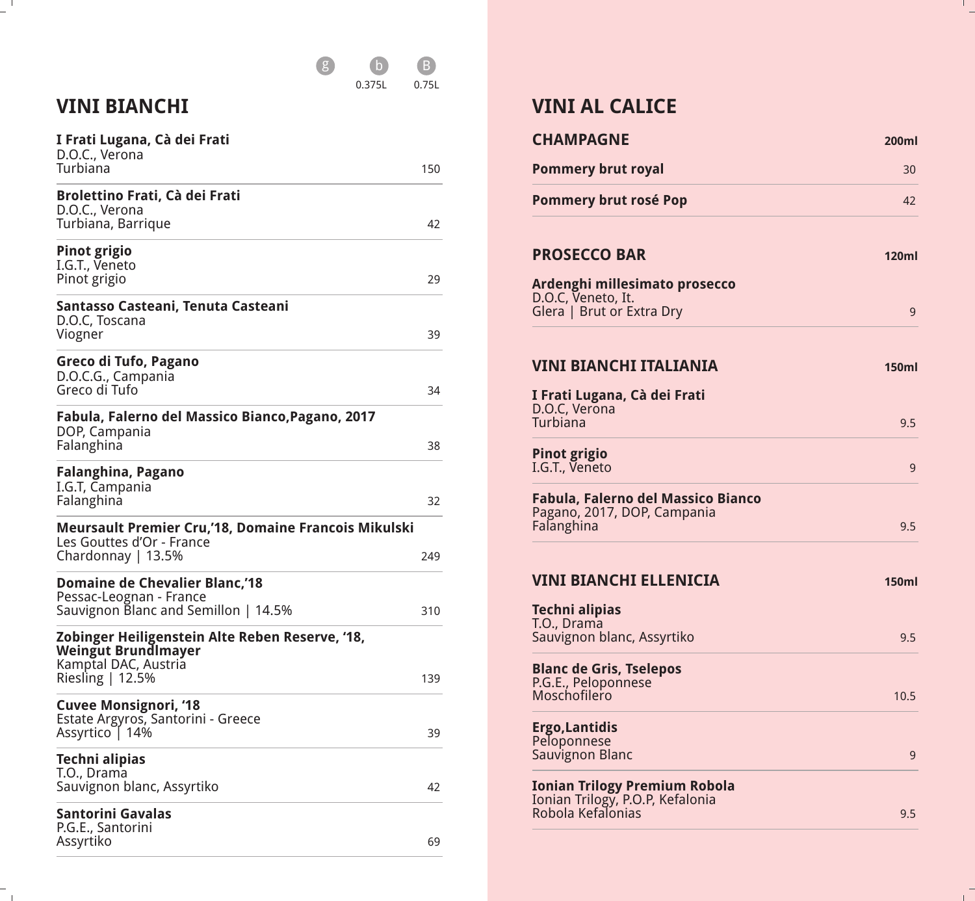#### 0.375L 0.75L g b B

## **VINI BIANCHI**

 $-$ <sup> $\overline{ }$ </sup>

 $\overline{a}$ 

| I Frati Lugana, Cà dei Frati<br>D.O.C., Verona                                                                            |     |
|---------------------------------------------------------------------------------------------------------------------------|-----|
| Turbiana                                                                                                                  | 150 |
| <b>Brolettino Frati, Cà dei Frati</b><br>D.O.C., Verona<br>Turbiana, Barrique                                             | 42  |
| <b>Pinot grigio</b><br>I.G.T., Veneto<br>Pinot grigio                                                                     | 29  |
| Santasso Casteani, Tenuta Casteani<br>D.O.C, Toscana<br>Viogner                                                           | 39  |
| Greco di Tufo, Pagano<br>D.O.C.G., Campania<br>Greco di Tufo                                                              | 34  |
| Fabula, Falerno del Massico Bianco, Pagano, 2017<br>DOP, Campania<br>Falanghina                                           | 38  |
| Falanghina, Pagano<br>I.G.T, Campania<br>Falanghina                                                                       | 32  |
| <b>Meursault Premier Cru,'18, Domaine Francois Mikulski</b><br>Les Gouttes d'Or - France<br>Chardonnay   $13.5%$          | 249 |
| <b>Domaine de Chevalier Blanc,'18</b><br>Pessac-Leognan - France<br>Sauvignon Blanc and Semillon   14.5%                  | 310 |
| Zobinger Heiligenstein Alte Reben Reserve, '18,<br><b>Weingut Brundlmayer</b><br>Kamptal DAC, Austria<br>Riesling   12.5% | 139 |
| <b>Cuvee Monsignori, '18</b><br>Estate Argyros, Santorini - Greece<br>Assyrtico   14%                                     | 39  |
| Techni alipias<br>T.O., Drama<br>Sauvignon blanc, Assyrtiko                                                               | 42  |
| Santorini Gavalas<br>P.G.E., Santorini<br>Assyrtiko                                                                       | 69  |

## **VINI AL CALICE**

| <b>CHAMPAGNE</b>                                                      | <b>200ml</b> |
|-----------------------------------------------------------------------|--------------|
| <b>Pommery brut royal</b>                                             | 30           |
| <b>Pommery brut rosé Pop</b>                                          | 42           |
| <b>PROSECCO BAR</b>                                                   | <b>120ml</b> |
| Ardenghi millesimato prosecco                                         |              |
| D.O.C, Veneto, It.<br>Glera   Brut or Extra Dry                       | 9            |
| VINI BIANCHI ITALIANIA                                                | <b>150ml</b> |
| I Frati Lugana, Cà dei Frati                                          |              |
| D.O.C, Verona<br>Turbiana                                             | 9.5          |
| <b>Pinot grigio</b><br>I.G.T., Veneto                                 | 9            |
| <b>Fabula, Falerno del Massico Bianco</b>                             |              |
| Pagano, 2017, DOP, Campania<br>Falanghina                             | 9.5          |
| VINI BIANCHI ELLENICIA                                                | <b>150ml</b> |
| Techni alipias<br>T.O., Drama                                         |              |
| Sauvignon blanc, Assyrtiko                                            | 9.5          |
| <b>Blanc de Gris, Tselepos</b><br>P.G.E., Peloponnese<br>Moschofilero |              |
|                                                                       | 10.5         |
| <b>Ergo, Lantidis</b><br>Peloponnese                                  |              |
| Sauvignon Blanc                                                       | 9            |
| Ionian Trilogy Premium Robola                                         |              |
| Ionian Trilogy, P.O.P, Kefalonia<br>Robola Kefalonias                 | 9.5          |

 $\frac{1}{\pi}$ 

 $\frac{1}{1}$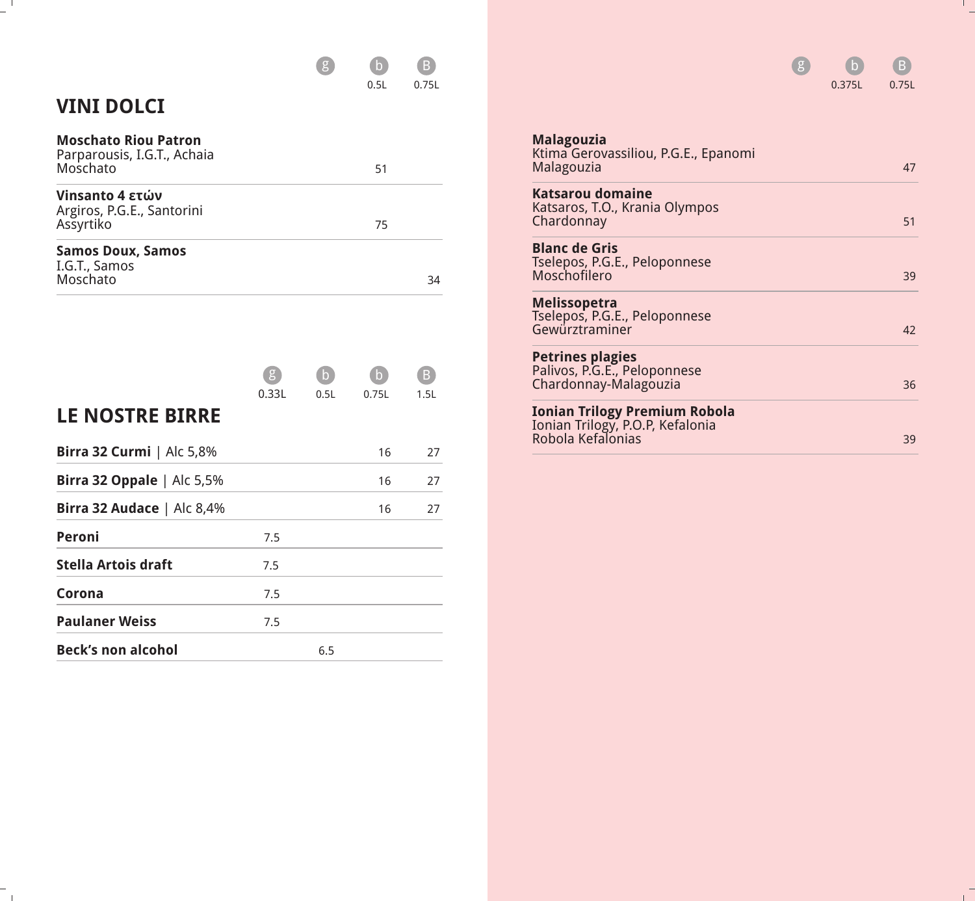

## **VINI DOLCI**

 $\overline{a}$ 

 $\mathbb{Z}_{\geq 0}$ 

| <b>Moschato Riou Patron</b><br>Parparousis, I.G.T., Achaia<br>Moschato | 51 |    |
|------------------------------------------------------------------------|----|----|
| Vinsanto 4 ετών<br>Argiros, P.G.E., Santorini<br>Assyrtiko             | 75 |    |
| <b>Samos Doux, Samos</b><br>I.G.T., Samos<br>Moschato                  |    | 34 |

|                                     |       |      |       | Β    |
|-------------------------------------|-------|------|-------|------|
|                                     | 0.33L | 0.5L | 0.75L | 1.5L |
| <b>LE NOSTRE BIRRE</b>              |       |      |       |      |
| <b>Birra 32 Curmi</b>   Alc 5,8%    |       |      | 16    | 27   |
| <b>Birra 32 Oppale</b> $ $ Alc 5,5% |       |      | 16    | 27   |
| Birra 32 Audace   Alc 8,4%          |       |      | 16    | 27   |
| Peroni                              | 7.5   |      |       |      |
| <b>Stella Artois draft</b>          | 7.5   |      |       |      |
| Corona                              | 7.5   |      |       |      |
| <b>Paulaner Weiss</b>               | 7.5   |      |       |      |
| <b>Beck's non alcohol</b>           |       | 6.5  |       |      |

|                                                                                        | 0.375L | 0.75L |
|----------------------------------------------------------------------------------------|--------|-------|
| <b>Malagouzia</b><br>Ktima Gerovassiliou, P.G.E., Epanomi<br>Malagouzia                |        | 47    |
| <b>Katsarou domaine</b><br>Katsaros, T.O., Krania Olympos<br>Chardonnay                |        | 51    |
| <b>Blanc de Gris</b><br>Tselepos, P.G.E., Peloponnese<br>Moschofilero                  |        | 39    |
| Melissopetra<br>Tselepos, P.G.E., Peloponnese<br>Gewürztraminer                        |        | 42    |
| <b>Petrines plagies</b><br>Palivos, P.G.E., Peloponnese<br>Chardonnay-Malagouzia       |        | 36    |
| Ionian Trilogy Premium Robola<br>Ionian Trilogy, P.O.P, Kefalonia<br>Robola Kefalonias |        | 39    |

g b B

 $\frac{1}{\sqrt{2}}$ 

 $\frac{1}{1}$